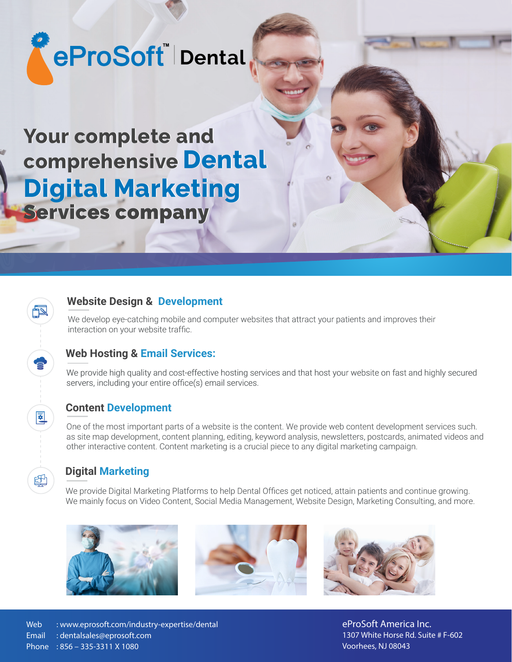# **eProSoft Dental**

**Your complete and Your complete and comprehensive Dental comprehensive Dental Digital Marketing Digital Marketing** Services company Services company

#### **Website Design & Development**

We develop eye-catching mobile and computer websites that attract your patients and improves their interaction on your website traffic.

## **Web Hosting & Email Services:**

We provide high quality and cost-effective hosting services and that host your website on fast and highly secured servers, including your entire office(s) email services.

#### **Content Development**

One of the most important parts of a website is the content. We provide web content development services such. as site map development, content planning, editing, keyword analysis, newsletters, postcards, animated videos and other interactive content. Content marketing is a crucial piece to any digital marketing campaign.

#### **Digital Marketing**

豇

We provide Digital Marketing Platforms to help Dental Offices get noticed, attain patients and continue growing. We mainly focus on Video Content, Social Media Management, Website Design, Marketing Consulting, and more.







**eProSoft America Inc.**  1307 White Horse Rd. Suite # F-602 Voorhees, NJ 08043